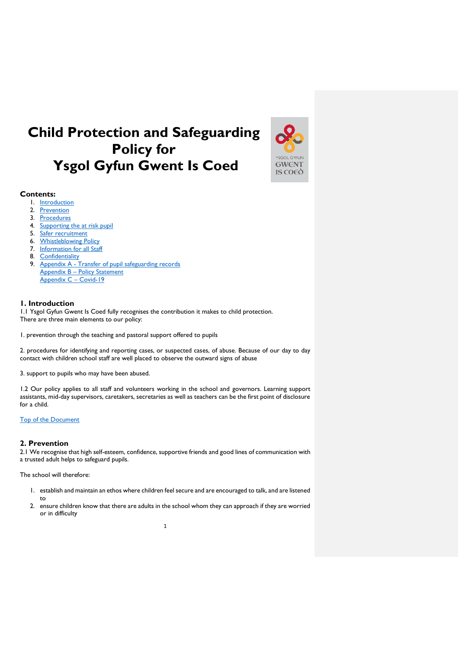# <span id="page-0-2"></span>**Child Protection and Safeguarding Policy for Ysgol Gyfun Gwent Is Coed**



# **Contents:**

- 1. [Introduction](#page-0-0)
- 2. [Prevention](#page-0-1)
- 3. [Procedures](#page-1-0)
- 4. [Supporting the at risk pupil](#page-2-0)
- 5. [Safer recruitment](#page-4-0)
- 6. [Whistleblowing Policy](#page-4-1)
- 7. [Information for all Staff](#page-4-2)
- 8. [Confidentiality](#page-5-0)
- 9. Appendix A [Transfer of pupil safeguarding records](#page-6-0) Appendix B – [Policy Statement](#page-8-0) [Appendix C](#page-9-0) – Covid-19

# <span id="page-0-0"></span>**1. Introduction**

1.1 Ysgol Gyfun Gwent Is Coed fully recognises the contribution it makes to child protection. There are three main elements to our policy:

1. prevention through the teaching and pastoral support offered to pupils

2. procedures for identifying and reporting cases, or suspected cases, of abuse. Because of our day to day contact with children school staff are well placed to observe the outward signs of abuse

3. support to pupils who may have been abused.

1.2 Our policy applies to all staff and volunteers working in the school and governors. Learning support assistants, mid-day supervisors, caretakers, secretaries as well as teachers can be the first point of disclosure for a child.

# [Top of the Document](#page-0-2)

# <span id="page-0-1"></span>**2. Prevention**

2.1 We recognise that high self-esteem, confidence, supportive friends and good lines of communication with a trusted adult helps to safeguard pupils.

The school will therefore:

- 1. establish and maintain an ethos where children feel secure and are encouraged to talk, and are listened to
- 2. ensure children know that there are adults in the school whom they can approach if they are worried or in difficulty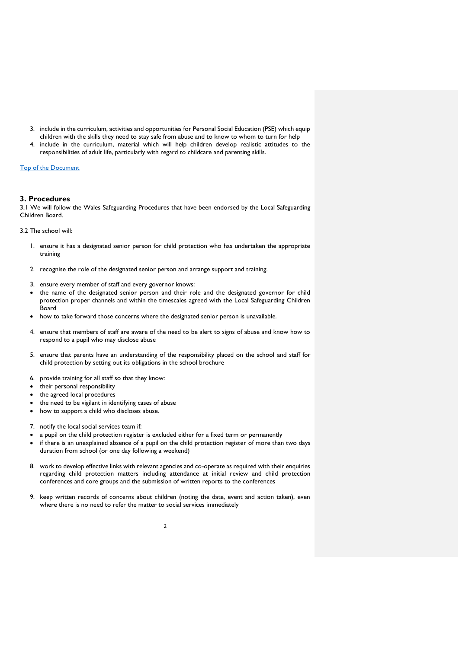- 3. include in the curriculum, activities and opportunities for Personal Social Education (PSE) which equip children with the skills they need to stay safe from abuse and to know to whom to turn for help
- include in the curriculum, material which will help children develop realistic attitudes to the responsibilities of adult life, particularly with regard to childcare and parenting skills.

# [Top of the Document](#page-0-2)

## <span id="page-1-0"></span>**3. Procedures**

3.1 We will follow the Wales Safeguarding Procedures that have been endorsed by the Local Safeguarding Children Board.

3.2 The school will:

- 1. ensure it has a designated senior person for child protection who has undertaken the appropriate training
- 2. recognise the role of the designated senior person and arrange support and training.
- 3. ensure every member of staff and every governor knows:
- the name of the designated senior person and their role and the designated governor for child protection proper channels and within the timescales agreed with the Local Safeguarding Children Board
- how to take forward those concerns where the designated senior person is unavailable.
- 4. ensure that members of staff are aware of the need to be alert to signs of abuse and know how to respond to a pupil who may disclose abuse
- 5. ensure that parents have an understanding of the responsibility placed on the school and staff for child protection by setting out its obligations in the school brochure
- 6. provide training for all staff so that they know:
- their personal responsibility
- the agreed local procedures
- the need to be vigilant in identifying cases of abuse
- how to support a child who discloses abuse.
- 7. notify the local social services team if:
- a pupil on the child protection register is excluded either for a fixed term or permanently
- if there is an unexplained absence of a pupil on the child protection register of more than two days duration from school (or one day following a weekend)
- 8. work to develop effective links with relevant agencies and co-operate as required with their enquiries regarding child protection matters including attendance at initial review and child protection conferences and core groups and the submission of written reports to the conferences
- 9. keep written records of concerns about children (noting the date, event and action taken), even where there is no need to refer the matter to social services immediately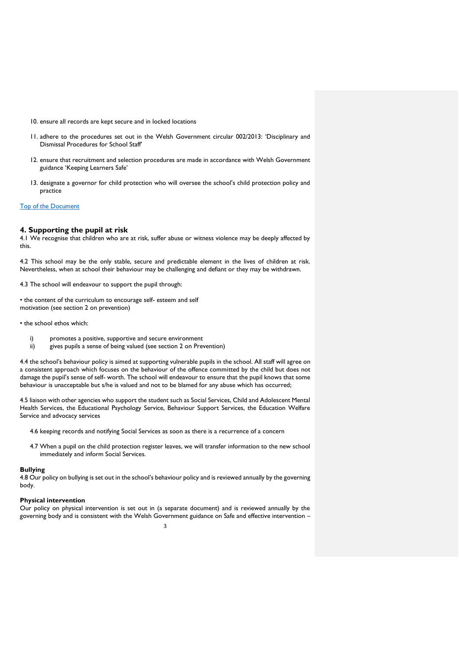- 10. ensure all records are kept secure and in locked locations
- 11. adhere to the procedures set out in the Welsh Government circular 002/2013: 'Disciplinary and Dismissal Procedures for School Staff'
- 12. ensure that recruitment and selection procedures are made in accordance with Welsh Government guidance 'Keeping Learners Safe'
- 13. designate a governor for child protection who will oversee the school's child protection policy and practice

# [Top of the Document](#page-0-2)

#### <span id="page-2-0"></span>**4. Supporting the pupil at risk**

4.1 We recognise that children who are at risk, suffer abuse or witness violence may be deeply affected by this.

4.2 This school may be the only stable, secure and predictable element in the lives of children at risk. Nevertheless, when at school their behaviour may be challenging and defiant or they may be withdrawn.

4.3 The school will endeavour to support the pupil through:

• the content of the curriculum to encourage self- esteem and self motivation (see section 2 on prevention)

• the school ethos which:

- i) promotes a positive, supportive and secure environment
- ii) gives pupils a sense of being valued (see section 2 on Prevention)

4.4 the school's behaviour policy is aimed at supporting vulnerable pupils in the school. All staff will agree on a consistent approach which focuses on the behaviour of the offence committed by the child but does not damage the pupil's sense of self- worth. The school will endeavour to ensure that the pupil knows that some behaviour is unacceptable but s/he is valued and not to be blamed for any abuse which has occurred;

4.5 liaison with other agencies who support the student such as Social Services, Child and Adolescent Mental Health Services, the Educational Psychology Service, Behaviour Support Services, the Education Welfare Service and advocacy services

- 4.6 keeping records and notifying Social Services as soon as there is a recurrence of a concern
- 4.7 When a pupil on the child protection register leaves, we will transfer information to the new school immediately and inform Social Services.

#### **Bullying**

4.8 Our policy on bullying is set out in the school's behaviour policy and is reviewed annually by the governing body.

#### **Physical intervention**

Our policy on physical intervention is set out in (a separate document) and is reviewed annually by the governing body and is consistent with the Welsh Government guidance on Safe and effective intervention –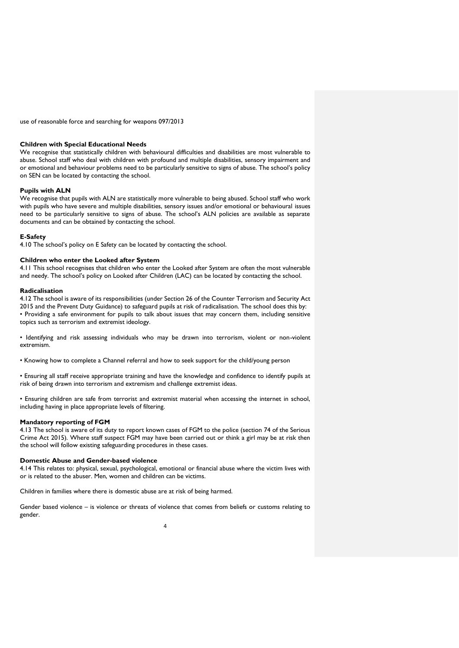use of reasonable force and searching for weapons 097/2013

#### **Children with Special Educational Needs**

We recognise that statistically children with behavioural difficulties and disabilities are most vulnerable to abuse. School staff who deal with children with profound and multiple disabilities, sensory impairment and or emotional and behaviour problems need to be particularly sensitive to signs of abuse. The school's policy on SEN can be located by contacting the school.

#### **Pupils with ALN**

We recognise that pupils with ALN are statistically more vulnerable to being abused. School staff who work with pupils who have severe and multiple disabilities, sensory issues and/or emotional or behavioural issues need to be particularly sensitive to signs of abuse. The school's ALN policies are available as separate documents and can be obtained by contacting the school.

#### **E-Safety**

4.10 The school's policy on E Safety can be located by contacting the school.

#### **Children who enter the Looked after System**

4.11 This school recognises that children who enter the Looked after System are often the most vulnerable and needy. The school's policy on Looked after Children (LAC) can be located by contacting the school.

#### **Radicalisation**

4.12 The school is aware of its responsibilities (under Section 26 of the Counter Terrorism and Security Act 2015 and the Prevent Duty Guidance) to safeguard pupils at risk of radicalisation. The school does this by: • Providing a safe environment for pupils to talk about issues that may concern them, including sensitive topics such as terrorism and extremist ideology.

• Identifying and risk assessing individuals who may be drawn into terrorism, violent or non-violent extremism.

• Knowing how to complete a Channel referral and how to seek support for the child/young person

• Ensuring all staff receive appropriate training and have the knowledge and confidence to identify pupils at risk of being drawn into terrorism and extremism and challenge extremist ideas.

• Ensuring children are safe from terrorist and extremist material when accessing the internet in school, including having in place appropriate levels of filtering.

#### **Mandatory reporting of FGM**

4.13 The school is aware of its duty to report known cases of FGM to the police (section 74 of the Serious Crime Act 2015). Where staff suspect FGM may have been carried out or think a girl may be at risk then the school will follow existing safeguarding procedures in these cases.

#### **Domestic Abuse and Gender-based violence**

4.14 This relates to: physical, sexual, psychological, emotional or financial abuse where the victim lives with or is related to the abuser. Men, women and children can be victims.

Children in families where there is domestic abuse are at risk of being harmed.

Gender based violence – is violence or threats of violence that comes from beliefs or customs relating to gender.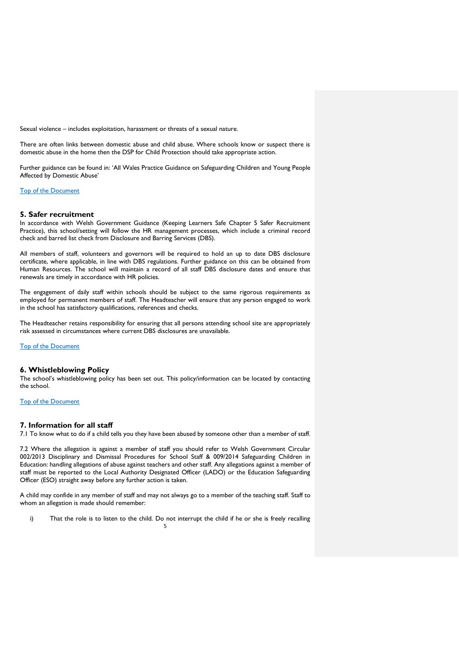Sexual violence – includes exploitation, harassment or threats of a sexual nature.

There are often links between domestic abuse and child abuse. Where schools know or suspect there is domestic abuse in the home then the DSP for Child Protection should take appropriate action.

Further guidance can be found in: 'All Wales Practice Guidance on Safeguarding Children and Young People Affected by Domestic Abuse'

[Top of the Document](#page-0-2)

## <span id="page-4-0"></span>**5. Safer recruitment**

In accordance with Welsh Government Guidance (Keeping Learners Safe Chapter 5 Safer Recruitment Practice), this school/setting will follow the HR management processes, which include a criminal record check and barred list check from Disclosure and Barring Services (DBS).

All members of staff, volunteers and governors will be required to hold an up to date DBS disclosure certificate, where applicable, in line with DBS regulations. Further guidance on this can be obtained from Human Resources. The school will maintain a record of all staff DBS disclosure dates and ensure that renewals are timely in accordance with HR policies.

The engagement of daily staff within schools should be subject to the same rigorous requirements as employed for permanent members of staff. The Headteacher will ensure that any person engaged to work in the school has satisfactory qualifications, references and checks.

The Headteacher retains responsibility for ensuring that all persons attending school site are appropriately risk assessed in circumstances where current DBS disclosures are unavailable.

[Top of the Document](#page-0-2)

#### <span id="page-4-1"></span>**6. Whistleblowing Policy**

The school's whistleblowing policy has been set out. This policy/information can be located by contacting the school.

[Top of the Document](#page-0-2)

# <span id="page-4-2"></span>**7. Information for all staff**

7.1 To know what to do if a child tells you they have been abused by someone other than a member of staff.

7.2 Where the allegation is against a member of staff you should refer to Welsh Government Circular 002/2013 Disciplinary and Dismissal Procedures for School Staff & 009/2014 Safeguarding Children in Education: handling allegations of abuse against teachers and other staff. Any allegations against a member of staff must be reported to the Local Authority Designated Officer (LADO) or the Education Safeguarding Officer (ESO) straight away before any further action is taken.

A child may confide in any member of staff and may not always go to a member of the teaching staff. Staff to whom an allegation is made should remember:

5 i) That the role is to listen to the child. Do not interrupt the child if he or she is freely recalling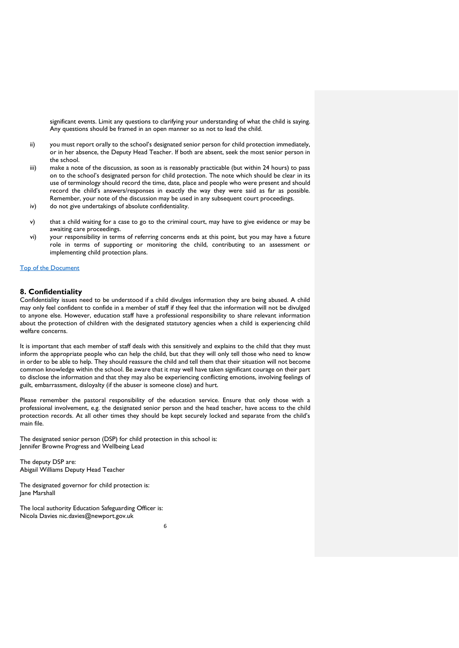significant events. Limit any questions to clarifying your understanding of what the child is saying. Any questions should be framed in an open manner so as not to lead the child.

- ii) you must report orally to the school's designated senior person for child protection immediately, or in her absence, the Deputy Head Teacher. If both are absent, seek the most senior person in the school.
- iii) make a note of the discussion, as soon as is reasonably practicable (but within 24 hours) to pass on to the school's designated person for child protection. The note which should be clear in its use of terminology should record the time, date, place and people who were present and should record the child's answers/responses in exactly the way they were said as far as possible. Remember, your note of the discussion may be used in any subsequent court proceedings.
- iv) do not give undertakings of absolute confidentiality.
- v) that a child waiting for a case to go to the criminal court, may have to give evidence or may be awaiting care proceedings.
- vi) your responsibility in terms of referring concerns ends at this point, but you may have a future role in terms of supporting or monitoring the child, contributing to an assessment or implementing child protection plans.

#### [Top of the Document](#page-0-2)

# <span id="page-5-0"></span>**8. Confidentiality**

Confidentiality issues need to be understood if a child divulges information they are being abused. A child may only feel confident to confide in a member of staff if they feel that the information will not be divulged to anyone else. However, education staff have a professional responsibility to share relevant information about the protection of children with the designated statutory agencies when a child is experiencing child welfare concerns.

It is important that each member of staff deals with this sensitively and explains to the child that they must inform the appropriate people who can help the child, but that they will only tell those who need to know in order to be able to help. They should reassure the child and tell them that their situation will not become common knowledge within the school. Be aware that it may well have taken significant courage on their part to disclose the information and that they may also be experiencing conflicting emotions, involving feelings of guilt, embarrassment, disloyalty (if the abuser is someone close) and hurt.

Please remember the pastoral responsibility of the education service. Ensure that only those with a professional involvement, e.g. the designated senior person and the head teacher, have access to the child protection records. At all other times they should be kept securely locked and separate from the child's main file.

The designated senior person (DSP) for child protection in this school is: Jennifer Browne Progress and Wellbeing Lead

The deputy DSP are: Abigail Williams Deputy Head Teacher

The designated governor for child protection is: Jane Marshall

The local authority Education Safeguarding Officer is: Nicola Davies nic.davies@newport.gov.uk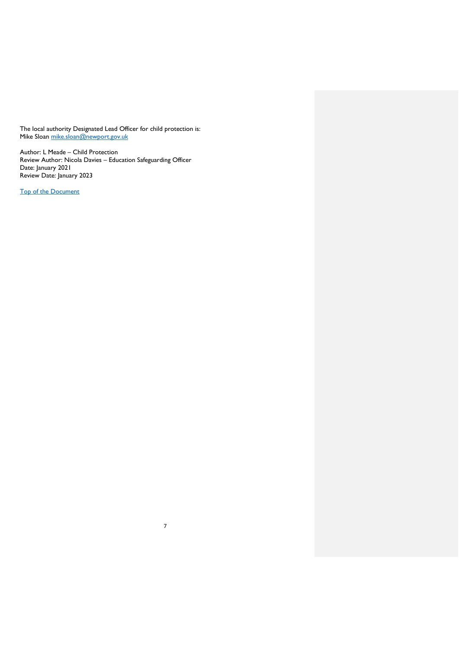The local authority Designated Lead Officer for child protection is: Mike Sloan <u>mike.sloan@newport.gov.uk</u>

<span id="page-6-0"></span>Author: L Meade – Child Protection Review Author: Nicola Davies – Education Safeguarding Officer Date: January 2021 Review Date: January 2023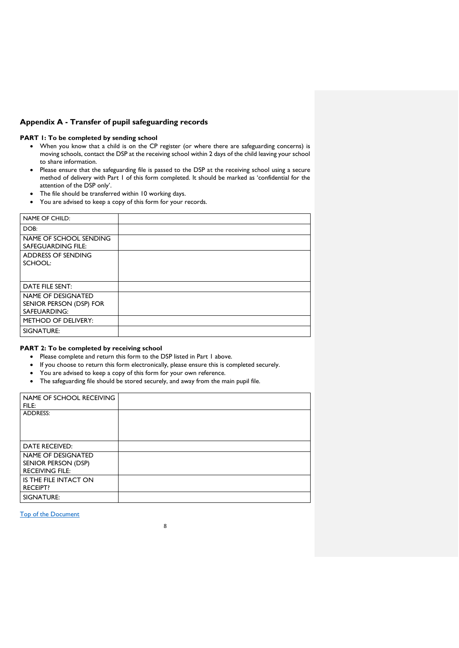# **Appendix A - Transfer of pupil safeguarding records**

#### **PART 1: To be completed by sending school**

- When you know that a child is on the CP register (or where there are safeguarding concerns) is moving schools, contact the DSP at the receiving school within 2 days of the child leaving your school to share information.
- Please ensure that the safeguarding file is passed to the DSP at the receiving school using a secure method of delivery with Part 1 of this form completed. It should be marked as 'confidential for the attention of the DSP only'.
- The file should be transferred within 10 working days.
- You are advised to keep a copy of this form for your records.

| NAME OF CHILD:                                                |  |
|---------------------------------------------------------------|--|
| DOB:                                                          |  |
| NAME OF SCHOOL SENDING<br>SAFEGUARDING FILE:                  |  |
| ADDRESS OF SENDING<br>SCHOOL:                                 |  |
| DATE FILE SENT:                                               |  |
| NAME OF DESIGNATED<br>SENIOR PERSON (DSP) FOR<br>SAFEUARDING: |  |
| <b>METHOD OF DELIVERY:</b>                                    |  |
| SIGNATURE:                                                    |  |

# **PART 2: To be completed by receiving school**

- Please complete and return this form to the DSP listed in Part 1 above.
- If you choose to return this form electronically, please ensure this is completed securely.
- You are advised to keep a copy of this form for your own reference.
- The safeguarding file should be stored securely, and away from the main pupil file.

| NAME OF SCHOOL RECEIVING<br>FILE:             |  |
|-----------------------------------------------|--|
| <b>ADDRESS:</b>                               |  |
|                                               |  |
|                                               |  |
| DATE RECEIVED:                                |  |
| NAME OF DESIGNATED                            |  |
| SENIOR PERSON (DSP)<br><b>RECEIVING FILE:</b> |  |
| IS THE FILE INTACT ON                         |  |
| <b>RECEIPT?</b>                               |  |
| SIGNATURE:                                    |  |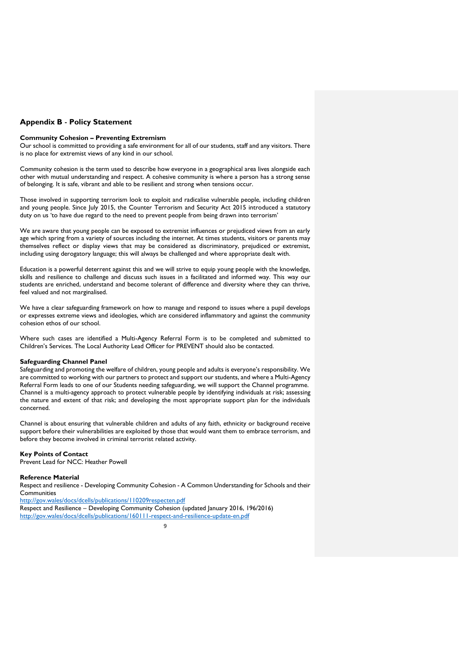# <span id="page-8-0"></span>**Appendix B** - **Policy Statement**

#### **Community Cohesion – Preventing Extremism**

Our school is committed to providing a safe environment for all of our students, staff and any visitors. There is no place for extremist views of any kind in our school.

Community cohesion is the term used to describe how everyone in a geographical area lives alongside each other with mutual understanding and respect. A cohesive community is where a person has a strong sense of belonging. It is safe, vibrant and able to be resilient and strong when tensions occur.

Those involved in supporting terrorism look to exploit and radicalise vulnerable people, including children and young people. Since July 2015, the Counter Terrorism and Security Act 2015 introduced a statutory duty on us 'to have due regard to the need to prevent people from being drawn into terrorism'

We are aware that young people can be exposed to extremist influences or prejudiced views from an early age which spring from a variety of sources including the internet. At times students, visitors or parents may themselves reflect or display views that may be considered as discriminatory, prejudiced or extremist, including using derogatory language; this will always be challenged and where appropriate dealt with.

Education is a powerful deterrent against this and we will strive to equip young people with the knowledge, skills and resilience to challenge and discuss such issues in a facilitated and informed way. This way our students are enriched, understand and become tolerant of difference and diversity where they can thrive, feel valued and not marginalised.

We have a clear safeguarding framework on how to manage and respond to issues where a pupil develops or expresses extreme views and ideologies, which are considered inflammatory and against the community cohesion ethos of our school.

Where such cases are identified a Multi-Agency Referral Form is to be completed and submitted to Children's Services. The Local Authority Lead Officer for PREVENT should also be contacted.

#### **Safeguarding Channel Panel**

Safeguarding and promoting the welfare of children, young people and adults is everyone's responsibility. We are committed to working with our partners to protect and support our students, and where a Multi-Agency Referral Form leads to one of our Students needing safeguarding, we will support the Channel programme. Channel is a multi-agency approach to protect vulnerable people by identifying individuals at risk; assessing the nature and extent of that risk; and developing the most appropriate support plan for the individuals concerned.

Channel is about ensuring that vulnerable children and adults of any faith, ethnicity or background receive support before their vulnerabilities are exploited by those that would want them to embrace terrorism, and before they become involved in criminal terrorist related activity.

#### **Key Points of Contact**

Prevent Lead for NCC: Heather Powell

# **Reference Material**

Respect and resilience - Developing Community Cohesion - A Common Understanding for Schools and their **Communities** 

<http://gov.wales/docs/dcells/publications/110209respecten.pdf>

Respect and Resilience – Developing Community Cohesion (updated January 2016, 196/2016) <http://gov.wales/docs/dcells/publications/160111-respect-and-resilience-update-en.pdf>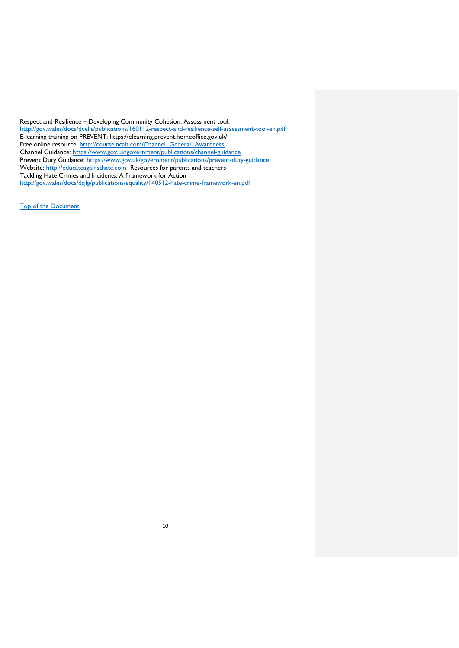<span id="page-9-0"></span>Respect and Resilience – Developing Community Cohesion: Assessment tool: <http://gov.wales/docs/dcells/publications/160112-respect-and-resilience-self-assessment-tool-en.pdf> E-learning training on PREVENT: https://elearning.prevent.homeoffice.gov.uk/ Free online resource: [http://course.ncalt.com/Channel\\_General\\_Awareness](http://course.ncalt.com/Channel_General_Awareness) Channel Guidance:<https://www.gov.uk/government/publications/channel-guidance> Prevent Duty Guidance:<https://www.gov.uk/government/publications/prevent-duty-guidance> Website: [http://educateagainsthate.com](http://educateagainsthate.com/) Resources for parents and teachers Tackling Hate Crimes and Incidents: A Framework for Action <http://gov.wales/docs/dsjlg/publications/equality/140512-hate-crime-framework-en.pdf>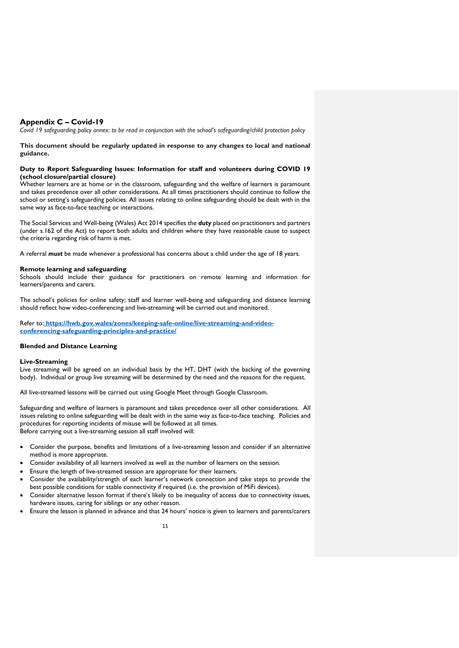# **Appendix C – Covid-19**

*Covid 19 safeguarding policy annex: to be read in conjunction with the school's safeguarding/child protection policy*

**This document should be regularly updated in response to any changes to local and national guidance.** 

#### **Duty to Report Safeguarding Issues: Information for staff and volunteers during COVID 19 (school closure/partial closure)**

Whether learners are at home or in the classroom, safeguarding and the welfare of learners is paramount and takes precedence over all other considerations. At all times practitioners should continue to follow the school or setting's safeguarding policies. All issues relating to online safeguarding should be dealt with in the same way as face-to-face teaching or interactions.

The Social Services and Well-being (Wales) Act 2014 specifies the *duty* placed on practitioners and partners (under s.162 of the Act) to report both adults and children where they have reasonable cause to suspect the criteria regarding risk of harm is met.

A referral *must* be made whenever a professional has concerns about a child under the age of 18 years.

#### **Remote learning and safeguarding**

Schools should include their guidance for practitioners on remote learning and information for learners/parents and carers.

The school's policies for online safety; staff and learner well-being and safeguarding and distance learning should reflect how video-conferencing and live-streaming will be carried out and monitored.

Refer to: **[https://hwb.gov.wales/zones/keeping-safe-online/live-streaming-and-video](https://hwb.gov.wales/zones/keeping-safe-online/live-streaming-and-video-conferencing-safeguarding-principles-and-practice/)[conferencing-safeguarding-principles-and-practice/](https://hwb.gov.wales/zones/keeping-safe-online/live-streaming-and-video-conferencing-safeguarding-principles-and-practice/)**

#### **Blended and Distance Learning**

#### **Live-Streaming**

Live streaming will be agreed on an individual basis by the HT, DHT (with the backing of the governing body). Individual or group live streaming will be determined by the need and the reasons for the request.

All live-streamed lessons will be carried out using Google Meet through Google Classroom.

Safeguarding and welfare of learners is paramount and takes precedence over all other considerations. All issues relating to online safeguarding will be dealt with in the same way as face-to-face teaching. Policies and procedures for reporting incidents of misuse will be followed at all times. Before carrying out a live-streaming session all staff involved will:

- Consider the purpose, benefits and limitations of a live-streaming lesson and consider if an alternative method is more appropriate.
- Consider availability of all learners involved as well as the number of learners on the session.
- Ensure the length of live-streamed session are appropriate for their learners.
- Consider the availability/strength of each learner's network connection and take steps to provide the best possible conditions for stable connectivity if required (i.e. the provision of MiFi devices).
- Consider alternative lesson format if there's likely to be inequality of access due to connectivity issues, hardware issues, caring for siblings or any other reason.
- Ensure the lesson is planned in advance and that 24 hours' notice is given to learners and parents/carers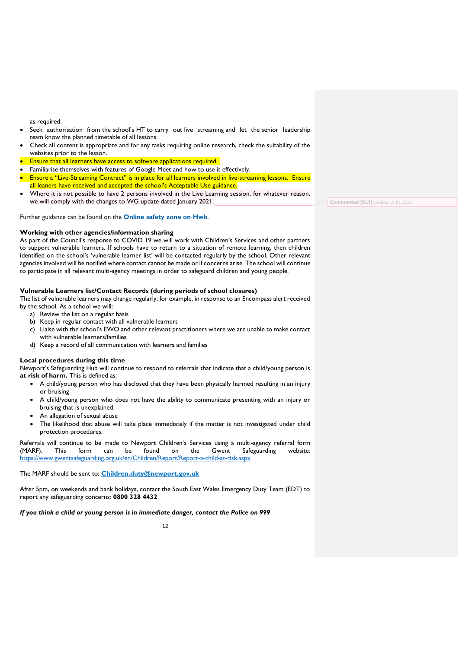as required.

- Seek authorisation from the school's HT to carry out live streaming and let the senior leadership team know the planned timetable of all lessons.
- Check all content is appropriate and for any tasks requiring online research, check the suitability of the websites prior to the lesson.
- Ensure that all learners have access to software applications required.
- Familiarise themselves with features of Google Meet and how to use it effectively.
- Ensure a "Live-Streaming Contract" is in place for all learners involved in live-streaming lessons. Ensure all leaners have received and accepted the school's Acceptable Use guidance.
- Where it is not possible to have 2 persons involved in the Live Learning session, for whatever reason, we will comply with the changes to WG update dated January 2021.

Further guidance can be found on the **[Online safety zone on Hwb](https://hwb.gov.wales/zones/online-safety/)**.

#### **Working with other agencies/information sharing**

As part of the Council's response to COVID 19 we will work with Children's Services and other partners to support vulnerable learners. If schools have to return to a situation of remote learning, then children identified on the school's 'vulnerable learner list' will be contacted regularly by the school. Other relevant agencies involved will be notified where contact cannot be made or if concerns arise. The school will continue to participate in all relevant multi-agency meetings in order to safeguard children and young people.

# **Vulnerable Learners list/Contact Records (during periods of school closures)**

The list of vulnerable learners may change regularly; for example, in response to an Encompass alert received by the school. As a school we will:

- a) Review the list on a regular basis
- b) Keep in regular contact with all vulnerable learners
- c) Liaise with the school's EWO and other relevant practitioners where we are unable to make contact with vulnerable learners/families
- d) Keep a record of all communication with learners and families

#### **Local procedures during this time**

Newport's Safeguarding Hub will continue to respond to referrals that indicate that a child/young person is **at risk of harm.** This is defined as:

- A child/young person who has disclosed that they have been physically harmed resulting in an injury or bruising
- A child/young person who does not have the ability to communicate presenting with an injury or bruising that is unexplained.
- An allegation of sexual abuse
- The likelihood that abuse will take place immediately if the matter is not investigated under child protection procedures.

Referrals will continue to be made to Newport Children's Services using a multi-agency referral form (MARF). This form can be found on the Gwent Safeguarding website: <https://www.gwentsafeguarding.org.uk/en/Children/Report/Report-a-child-at-risk.aspx>

The MARF should be sent to: **[Children.duty@newport.gov.uk](mailto:Children.duty@newport.gov.uk)**

After 5pm, on weekends and bank holidays, contact the South East Wales Emergency Duty Team (EDT) to report any safeguarding concerns: **0800 328 4432**

*If you think a child or young person is in immediate danger, contact the Police on 999*

**Commented [KL1]:** Added 14.01.2021